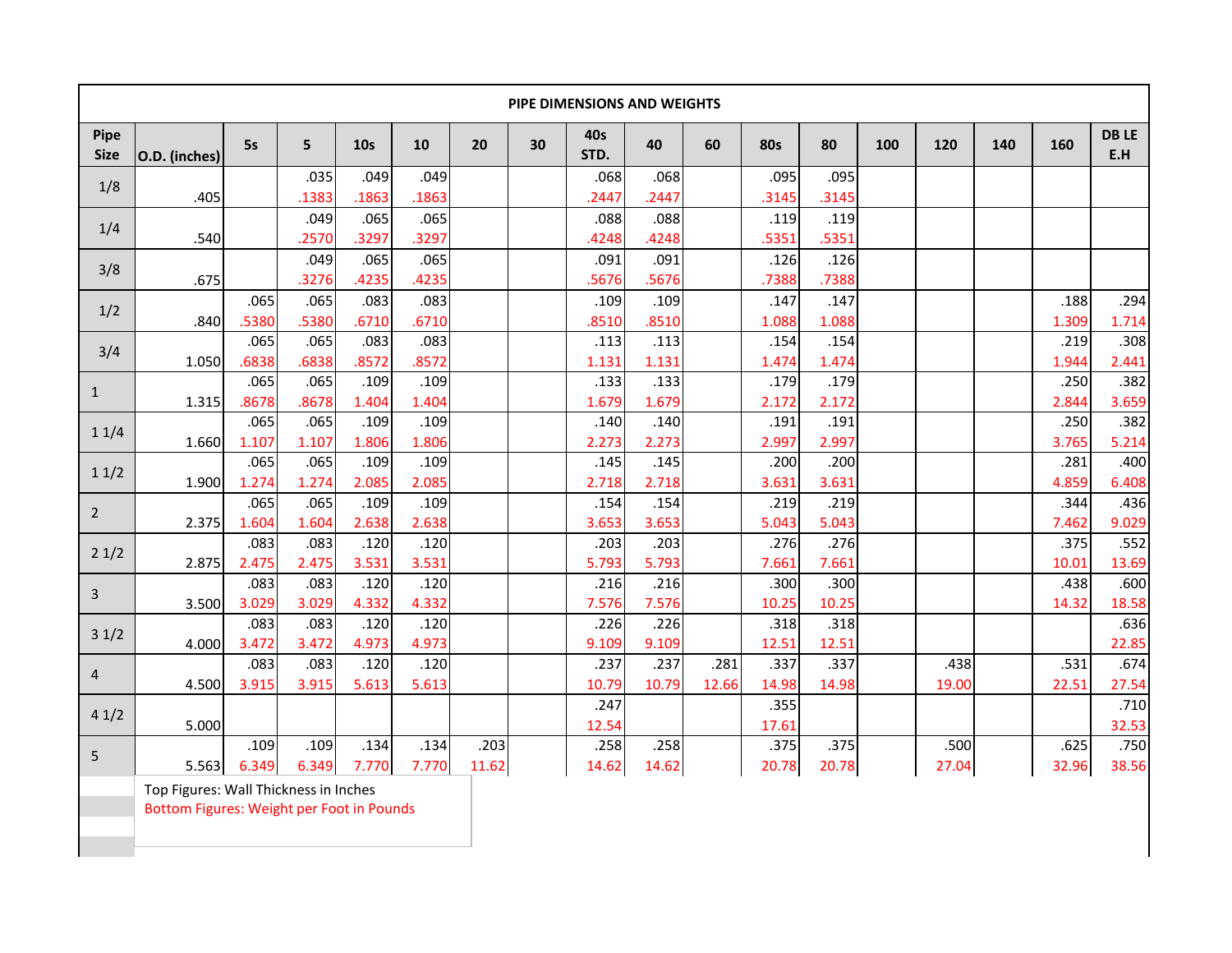| PIPE DIMENSIONS AND WEIGHTS |               |               |               |                 |               |               |    |               |               |               |               |               |     |               |     |               |                    |
|-----------------------------|---------------|---------------|---------------|-----------------|---------------|---------------|----|---------------|---------------|---------------|---------------|---------------|-----|---------------|-----|---------------|--------------------|
| <b>Pipe</b><br><b>Size</b>  | O.D. (inches) | 5s            | 5             | 10 <sub>s</sub> | 10            | 20            | 30 | 40s<br>STD.   | 40            | 60            | <b>80s</b>    | 80            | 100 | 120           | 140 | 160           | <b>DBLE</b><br>E.H |
| 1/8                         | .405          |               | .035<br>.1383 | .049<br>.1863   | .049<br>.1863 |               |    | .068<br>.2447 | .068<br>.2447 |               | .095<br>.3145 | .095<br>.3145 |     |               |     |               |                    |
| 1/4                         | .540          |               | .049<br>.2570 | .065<br>.3297   | .065<br>.3297 |               |    | .088<br>.4248 | .088<br>.4248 |               | .119<br>.5351 | .119<br>.5351 |     |               |     |               |                    |
| 3/8                         | .675          |               | .049<br>.3276 | .065<br>.4235   | .065<br>.4235 |               |    | .091<br>.5676 | .091<br>.5676 |               | .126<br>.7388 | .126<br>.7388 |     |               |     |               |                    |
| 1/2                         | .840          | .065<br>.5380 | .065<br>.5380 | .083<br>.6710   | .083<br>.6710 |               |    | .109<br>.8510 | .109<br>.8510 |               | .147<br>1.088 | .147<br>1.088 |     |               |     | .188<br>1.309 | .294<br>1.714      |
| 3/4                         | 1.050         | .065<br>.6838 | .065<br>.6838 | .083<br>.8572   | .083<br>.8572 |               |    | .113<br>1.131 | .113<br>1.131 |               | .154<br>1.474 | .154<br>1.474 |     |               |     | .219<br>1.944 | .308<br>2.441      |
| $\mathbf{1}$                | 1.315         | .065<br>.8678 | .065<br>.8678 | .109<br>1.404   | .109<br>1.404 |               |    | .133<br>1.679 | .133<br>1.679 |               | .179<br>2.172 | .179<br>2.172 |     |               |     | .250<br>2.844 | .382<br>3.659      |
| 11/4                        | 1.660         | .065<br>1.107 | .065<br>1.107 | .109<br>1.806   | .109<br>1.806 |               |    | .140<br>2.273 | .140<br>2.273 |               | .191<br>2.997 | .191<br>2.997 |     |               |     | .250<br>3.765 | .382<br>5.214      |
| 11/2                        | 1.900         | .065<br>1.274 | .065<br>1.274 | .109<br>2.085   | .109<br>2.085 |               |    | .145<br>2.718 | .145<br>2.718 |               | .200<br>3.631 | .200<br>3.631 |     |               |     | .281<br>4.859 | .400<br>6.408      |
| $\overline{2}$              | 2.375         | .065<br>1.604 | .065<br>1.604 | .109<br>2.638   | .109<br>2.638 |               |    | .154<br>3.653 | .154<br>3.653 |               | .219<br>5.043 | .219<br>5.043 |     |               |     | .344<br>7.462 | .436<br>9.029      |
| 21/2                        | 2.875         | .083<br>2.475 | .083<br>2.475 | .120<br>3.531   | .120<br>3.531 |               |    | .203<br>5.793 | .203<br>5.793 |               | .276<br>7.661 | .276<br>7.661 |     |               |     | .375<br>10.01 | .552<br>13.69      |
| 3                           | 3.500         | .083<br>3.029 | .083<br>3.029 | .120<br>4.332   | .120<br>4.332 |               |    | .216<br>7.576 | .216<br>7.576 |               | .300<br>10.25 | .300<br>10.25 |     |               |     | .438<br>14.32 | .600<br>18.58      |
| 31/2                        | 4.000         | .083<br>3.472 | .083<br>3.472 | .120<br>4.973   | .120<br>4.973 |               |    | .226<br>9.109 | .226<br>9.109 |               | .318<br>12.51 | .318<br>12.51 |     |               |     |               | .636<br>22.85      |
| $\overline{4}$              | 4.500         | .083<br>3.915 | .083<br>3.915 | .120<br>5.613   | .120<br>5.613 |               |    | .237<br>10.79 | .237<br>10.79 | .281<br>12.66 | .337<br>14.98 | .337<br>14.98 |     | .438<br>19.00 |     | .531<br>22.51 | .674<br>27.54      |
| 41/2                        | 5.000         |               |               |                 |               |               |    | .247<br>12.54 |               |               | .355<br>17.61 |               |     |               |     |               | .710<br>32.53      |
| 5                           | 5.563         | .109<br>6.349 | .109<br>6.349 | .134<br>7.770   | .134<br>7.770 | .203<br>11.62 |    | .258<br>14.62 | .258<br>14.62 |               | .375<br>20.78 | .375<br>20.78 |     | .500<br>27.04 |     | .625<br>32.96 | .750<br>38.56      |

Top Figures: Wall Thickness in Inches

Bottom Figures: Weight per Foot in Pounds